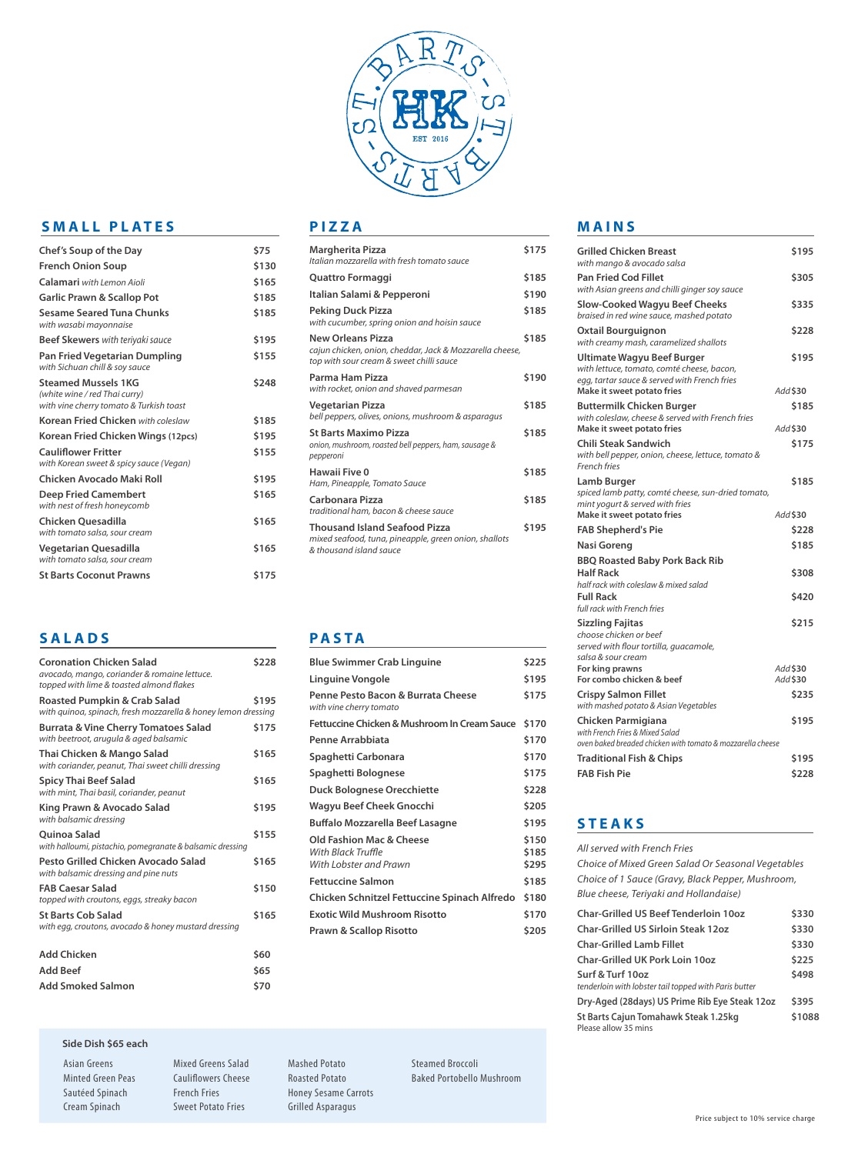

# **SMALL PLATES**

| Chef's Soup of the Day                                                                                 | \$75  |
|--------------------------------------------------------------------------------------------------------|-------|
| <b>French Onion Soup</b>                                                                               | \$130 |
| Calamari with Lemon Aioli                                                                              | \$165 |
| <b>Garlic Prawn &amp; Scallop Pot</b>                                                                  | \$185 |
| Sesame Seared Tuna Chunks<br>with wasabi mayonnaise                                                    | \$185 |
| <b>Beef Skewers</b> with teriyaki sauce                                                                | \$195 |
| Pan Fried Vegetarian Dumpling<br>with Sichuan chill & soy sauce                                        | \$155 |
| <b>Steamed Mussels 1KG</b><br>(white wine / red Thai curry)<br>with vine cherry tomato & Turkish toast | \$248 |
| <b>Korean Fried Chicken</b> with coleslaw                                                              | \$185 |
| Korean Fried Chicken Wings (12pcs)                                                                     | \$195 |
| <b>Cauliflower Fritter</b><br>with Korean sweet & spicy sauce (Vegan)                                  | \$155 |
| Chicken Avocado Maki Roll                                                                              | \$195 |
| <b>Deep Fried Camembert</b><br>with nest of fresh honeycomb                                            | \$165 |
| Chicken Quesadilla<br>with tomato salsa, sour cream                                                    | \$165 |
| Vegetarian Quesadilla<br>with tomato salsa, sour cream                                                 | \$165 |
| <b>St Barts Coconut Prawns</b>                                                                         | \$175 |

# **SALADS**

| <b>Coronation Chicken Salad</b><br>avocado, mango, coriander & romaine lettuce.<br>topped with lime & toasted almond flakes | \$228 |
|-----------------------------------------------------------------------------------------------------------------------------|-------|
| Roasted Pumpkin & Crab Salad<br>with quinoa, spinach, fresh mozzarella & honey lemon dressing                               | \$195 |
| <b>Burrata &amp; Vine Cherry Tomatoes Salad</b><br>with beetroot, arugula & aged balsamic                                   | \$175 |
| Thai Chicken & Mango Salad<br>with coriander, peanut, Thai sweet chilli dressing                                            | \$165 |
| <b>Spicy Thai Beef Salad</b><br>with mint, Thai basil, coriander, peanut                                                    | \$165 |
| King Prawn & Avocado Salad<br>with balsamic dressing                                                                        | \$195 |
| <b>Ouinoa Salad</b><br>with halloumi, pistachio, pomegranate & balsamic dressing                                            | \$155 |
| Pesto Grilled Chicken Avocado Salad<br>with balsamic dressing and pine nuts                                                 | \$165 |
| <b>FAB Caesar Salad</b><br>topped with croutons, eggs, streaky bacon                                                        | \$150 |
| <b>St Barts Cob Salad</b><br>with egg, croutons, avocado & honey mustard dressing                                           | \$165 |
| <b>Add Chicken</b>                                                                                                          | \$60  |
| <b>Add Beef</b>                                                                                                             | \$65  |
| <b>Add Smoked Salmon</b>                                                                                                    | \$70  |

#### **Side Dish \$65 each**

Asian Greens Minted Green Peas Sautéed Spinach Cream Spinach

Mixed Greens Salad Cauliflowers Cheese French Fries Sweet Potato Fries

**PIZZA**

| Margherita Pizza<br>Italian mozzarella with fresh tomato sauce                                                                   | \$175 |
|----------------------------------------------------------------------------------------------------------------------------------|-------|
| Quattro Formaggi                                                                                                                 | \$185 |
| Italian Salami & Pepperoni                                                                                                       | \$190 |
| Peking Duck Pizza<br>with cucumber, spring onion and hoisin sauce                                                                | \$185 |
| <b>New Orleans Pizza</b><br>cajun chicken, onion, cheddar, Jack & Mozzarella cheese,<br>top with sour cream & sweet chilli sauce | \$185 |
| Parma Ham Pizza<br>with rocket, onion and shaved parmesan                                                                        | \$190 |
| Vegetarian Pizza<br>bell peppers, olives, onions, mushroom & asparagus                                                           | \$185 |
| <b>St Barts Maximo Pizza</b><br>onion, mushroom, roasted bell peppers, ham, sausage &<br>pepperoni                               | \$185 |
| Hawaii Five 0<br>Ham, Pineapple, Tomato Sauce                                                                                    | \$185 |
| Carbonara Pizza<br>traditional ham, bacon & cheese sauce                                                                         | \$185 |
| <b>Thousand Island Seafood Pizza</b><br>mixed seafood, tuna, pineapple, green onion, shallots<br>& thousand island sauce         | \$195 |
|                                                                                                                                  |       |

#### **PASTA**

Mashed Potato Roasted Potato Honey Sesame Carrots Grilled Asparagus

| <b>Blue Swimmer Crab Linguine</b>                                        | \$225                   |
|--------------------------------------------------------------------------|-------------------------|
| Linguine Vongole                                                         | \$195                   |
| Penne Pesto Bacon & Burrata Cheese<br>with vine cherry tomato            | \$175                   |
| Fettuccine Chicken & Mushroom In Cream Sauce                             | \$170                   |
| Penne Arrabbiata                                                         | \$170                   |
| Spaghetti Carbonara                                                      | \$170                   |
| Spaghetti Bolognese                                                      | \$175                   |
| <b>Duck Bolognese Orecchiette</b>                                        | \$228                   |
| Wagyu Beef Cheek Gnocchi                                                 | \$205                   |
| <b>Buffalo Mozzarella Beef Lasagne</b>                                   | \$195                   |
| Old Fashion Mac & Cheese<br>With Black Truffle<br>With Lobster and Prawn | \$150<br>\$185<br>\$295 |
| <b>Fettuccine Salmon</b>                                                 | \$185                   |
| Chicken Schnitzel Fettuccine Spinach Alfredo                             | \$180                   |
| <b>Exotic Wild Mushroom Risotto</b>                                      | \$170                   |
| <b>Prawn &amp; Scallop Risotto</b>                                       | \$205                   |
|                                                                          |                         |

### **MAINS**

| <b>Grilled Chicken Breast</b><br>with mango & avocado salsa                                                                     |          | \$195    |
|---------------------------------------------------------------------------------------------------------------------------------|----------|----------|
| <b>Pan Fried Cod Fillet</b><br>with Asian greens and chilli ginger soy sauce                                                    |          | \$305    |
| <b>Slow-Cooked Wagyu Beef Cheeks</b><br>braised in red wine sauce, mashed potato                                                |          | \$335    |
| <b>Oxtail Bourguignon</b><br>with creamy mash, caramelized shallots                                                             |          | \$228    |
| <b>Ultimate Wagyu Beef Burger</b><br>with lettuce, tomato, comté cheese, bacon,<br>egg, tartar sauce & served with French fries |          | \$195    |
| Make it sweet potato fries                                                                                                      | Add \$30 |          |
| <b>Buttermilk Chicken Burger</b><br>with coleslaw, cheese & served with French fries                                            |          | \$185    |
| Make it sweet potato fries                                                                                                      | Add \$30 |          |
| <b>Chili Steak Sandwich</b>                                                                                                     |          | \$175    |
| with bell pepper, onion, cheese, lettuce, tomato &<br><b>French fries</b>                                                       |          |          |
| Lamb Burger<br>spiced lamb patty, comté cheese, sun-dried tomato,<br>mint yogurt & served with fries                            |          | \$185    |
| Make it sweet potato fries                                                                                                      |          | Add \$30 |
| <b>FAB Shepherd's Pie</b>                                                                                                       |          | \$228    |
| Nasi Goreng                                                                                                                     |          | \$185    |
| <b>BBQ Roasted Baby Pork Back Rib</b><br><b>Half Rack</b>                                                                       |          | \$308    |
| half rack with coleslaw & mixed salad                                                                                           |          |          |
| <b>Full Rack</b><br>full rack with French fries                                                                                 |          | \$420    |
| <b>Sizzling Fajitas</b><br>choose chicken or beef                                                                               |          | \$215    |
| served with flour tortilla, guacamole,<br>salsa & sour cream                                                                    |          |          |
| For king prawns                                                                                                                 | Add \$30 |          |
| For combo chicken & beef                                                                                                        |          | Add \$30 |
| <b>Crispy Salmon Fillet</b><br>with mashed potato & Asian Vegetables                                                            |          | \$235    |
| Chicken Parmigiana<br>with French Fries & Mixed Salad<br>oven baked breaded chicken with tomato & mozzarella cheese             |          | \$195    |
| <b>Traditional Fish &amp; Chips</b>                                                                                             |          | \$195    |
| <b>FAB Fish Pie</b>                                                                                                             |          | \$228    |
|                                                                                                                                 |          |          |

### **STEAKS**

| All served with French Fries                                                                |        |
|---------------------------------------------------------------------------------------------|--------|
| Choice of Mixed Green Salad Or Seasonal Vegetables                                          |        |
| Choice of 1 Sauce (Gravy, Black Pepper, Mushroom,<br>Blue cheese, Teriyaki and Hollandaise) |        |
| <b>Char-Grilled US Beef Tenderloin 10oz</b>                                                 | \$330  |
| <b>Char-Grilled US Sirloin Steak 12oz</b>                                                   | \$330  |
| Char-Grilled Lamb Fillet                                                                    | \$330  |
| <b>Char-Grilled UK Pork Loin 10oz</b>                                                       | \$225  |
| Surf & Turf 10oz<br>tenderloin with lobster tail topped with Paris butter                   | \$498  |
| Dry-Aged (28days) US Prime Rib Eye Steak 12oz                                               | \$395  |
| St Barts Cajun Tomahawk Steak 1.25kg<br>Please allow 35 mins                                | \$1088 |

Steamed Broccoli Baked Portobello Mushroom